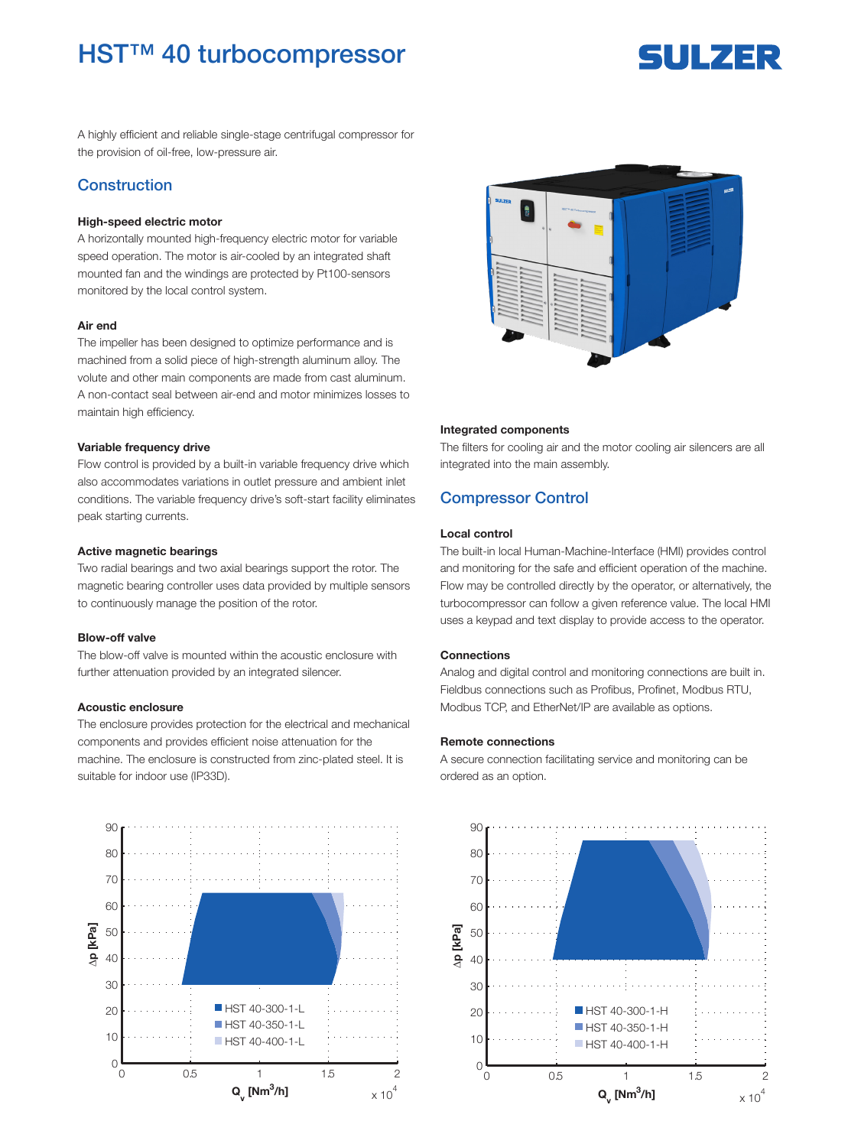## **HST™ 40 turbocompressor**

# 5ULZER

A highly efficient and reliable single-stage centrifugal compressor for the provision of oil-free, low-pressure air.

## Construction

#### High-speed electric motor

A horizontally mounted high-frequency electric motor for variable speed operation. The motor is air-cooled by an integrated shaft mounted fan and the windings are protected by Pt100-sensors monitored by the local control system.

#### Air end

The impeller has been designed to optimize performance and is machined from a solid piece of high-strength aluminum alloy. The volute and other main components are made from cast aluminum. A non-contact seal between air-end and motor minimizes losses to maintain high efficiency.

#### Variable frequency drive

Flow control is provided by a built-in variable frequency drive which also accommodates variations in outlet pressure and ambient inlet conditions. The variable frequency drive's soft-start facility eliminates peak starting currents.

#### Active magnetic bearings

Two radial bearings and two axial bearings support the rotor. The magnetic bearing controller uses data provided by multiple sensors to continuously manage the position of the rotor.

#### Blow-off valve

The blow-off valve is mounted within the acoustic enclosure with further attenuation provided by an integrated silencer.

#### Acoustic enclosure

The enclosure provides protection for the electrical and mechanical components and provides efficient noise attenuation for the machine. The enclosure is constructed from zinc-plated steel. It is suitable for indoor use (IP33D).





#### Integrated components

The filters for cooling air and the motor cooling air silencers are all integrated into the main assembly.

## Compressor Control

#### Local control

The built-in local Human-Machine-Interface (HMI) provides control and monitoring for the safe and efficient operation of the machine. Flow may be controlled directly by the operator, or alternatively, the turbocompressor can follow a given reference value. The local HMI uses a keypad and text display to provide access to the operator.

#### **Connections**

Analog and digital control and monitoring connections are built in. Fieldbus connections such as Profibus, Profinet, Modbus RTU, Modbus TCP, and EtherNet/IP are available as options.

#### Remote connections

A secure connection facilitating service and monitoring can be ordered as an option.